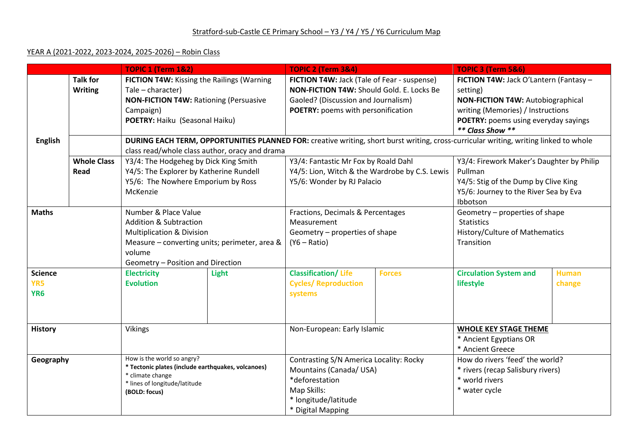## YEAR A (2021-2022, 2023-2024, 2025-2026) – Robin Class

|                 |                                                                                                     | <b>TOPIC 1 (Term 1&amp;2)</b>                                                        |                                             | <b>TOPIC 2 (Term 3&amp;4)</b>                  |                                          | <b>TOPIC 3 (Term 5&amp;6)</b>                                                                                                         |                                      |  |
|-----------------|-----------------------------------------------------------------------------------------------------|--------------------------------------------------------------------------------------|---------------------------------------------|------------------------------------------------|------------------------------------------|---------------------------------------------------------------------------------------------------------------------------------------|--------------------------------------|--|
|                 | <b>Talk for</b><br>FICTION T4W: Kissing the Railings (Warning                                       |                                                                                      | FICTION T4W: Jack (Tale of Fear - suspense) |                                                | FICTION T4W: Jack O'Lantern (Fantasy -   |                                                                                                                                       |                                      |  |
|                 | <b>Writing</b>                                                                                      | NON-FICTION T4W: Should Gold. E. Locks Be<br>Tale - character)                       |                                             |                                                | setting)                                 |                                                                                                                                       |                                      |  |
|                 |                                                                                                     | <b>NON-FICTION T4W: Rationing (Persuasive</b><br>Gaoled? (Discussion and Journalism) |                                             |                                                | <b>NON-FICTION T4W: Autobiographical</b> |                                                                                                                                       |                                      |  |
|                 | Campaign)                                                                                           |                                                                                      | POETRY: poems with personification          |                                                | writing (Memories) / Instructions        |                                                                                                                                       |                                      |  |
|                 |                                                                                                     | POETRY: Haiku (Seasonal Haiku)                                                       |                                             |                                                |                                          | POETRY: poems using everyday sayings                                                                                                  |                                      |  |
|                 |                                                                                                     |                                                                                      |                                             |                                                | ** Class Show **                         |                                                                                                                                       |                                      |  |
| <b>English</b>  |                                                                                                     |                                                                                      |                                             |                                                |                                          | DURING EACH TERM, OPPORTUNITIES PLANNED FOR: creative writing, short burst writing, cross-curricular writing, writing linked to whole |                                      |  |
|                 |                                                                                                     | class read/whole class author, oracy and drama                                       |                                             |                                                |                                          |                                                                                                                                       |                                      |  |
|                 | <b>Whole Class</b><br>Y3/4: The Hodgeheg by Dick King Smith<br>Y3/4: Fantastic Mr Fox by Roald Dahl |                                                                                      |                                             | Y3/4: Firework Maker's Daughter by Philip      |                                          |                                                                                                                                       |                                      |  |
| Read            |                                                                                                     | Y4/5: The Explorer by Katherine Rundell                                              |                                             | Y4/5: Lion, Witch & the Wardrobe by C.S. Lewis |                                          | Pullman                                                                                                                               |                                      |  |
|                 |                                                                                                     |                                                                                      | Y5/6: The Nowhere Emporium by Ross          |                                                | Y5/6: Wonder by RJ Palacio               |                                                                                                                                       | Y4/5: Stig of the Dump by Clive King |  |
| McKenzie        |                                                                                                     |                                                                                      |                                             |                                                |                                          | Y5/6: Journey to the River Sea by Eva                                                                                                 |                                      |  |
|                 |                                                                                                     |                                                                                      |                                             |                                                |                                          | Ibbotson                                                                                                                              |                                      |  |
| <b>Maths</b>    |                                                                                                     | Number & Place Value                                                                 |                                             | Fractions, Decimals & Percentages              |                                          | Geometry - properties of shape                                                                                                        |                                      |  |
|                 |                                                                                                     | <b>Addition &amp; Subtraction</b>                                                    |                                             | Measurement                                    |                                          | <b>Statistics</b>                                                                                                                     |                                      |  |
|                 |                                                                                                     | <b>Multiplication &amp; Division</b>                                                 |                                             | Geometry - properties of shape                 |                                          | History/Culture of Mathematics                                                                                                        |                                      |  |
|                 |                                                                                                     | Measure - converting units; perimeter, area &                                        |                                             | $(Y6 - Ratio)$                                 |                                          | Transition                                                                                                                            |                                      |  |
|                 |                                                                                                     | volume                                                                               |                                             |                                                |                                          |                                                                                                                                       |                                      |  |
|                 |                                                                                                     | Geometry - Position and Direction                                                    |                                             |                                                |                                          |                                                                                                                                       |                                      |  |
| <b>Science</b>  |                                                                                                     | <b>Electricity</b>                                                                   | <b>Light</b>                                | <b>Classification/Life</b>                     | <b>Forces</b>                            | <b>Circulation System and</b>                                                                                                         | <b>Human</b>                         |  |
| YR5             |                                                                                                     | <b>Evolution</b>                                                                     |                                             | <b>Cycles/ Reproduction</b>                    |                                          | lifestyle                                                                                                                             | change                               |  |
| YR <sub>6</sub> |                                                                                                     |                                                                                      |                                             | systems                                        |                                          |                                                                                                                                       |                                      |  |
|                 |                                                                                                     |                                                                                      |                                             |                                                |                                          |                                                                                                                                       |                                      |  |
|                 |                                                                                                     |                                                                                      |                                             |                                                |                                          |                                                                                                                                       |                                      |  |
|                 |                                                                                                     | Vikings                                                                              |                                             | Non-European: Early Islamic                    |                                          | <b>WHOLE KEY STAGE THEME</b>                                                                                                          |                                      |  |
| <b>History</b>  |                                                                                                     |                                                                                      |                                             |                                                |                                          | * Ancient Egyptians OR                                                                                                                |                                      |  |
|                 |                                                                                                     |                                                                                      |                                             |                                                |                                          | * Ancient Greece                                                                                                                      |                                      |  |
|                 |                                                                                                     | How is the world so angry?                                                           |                                             | Contrasting S/N America Locality: Rocky        |                                          | How do rivers 'feed' the world?                                                                                                       |                                      |  |
| Geography       |                                                                                                     | * Tectonic plates (include earthquakes, volcanoes)                                   |                                             | Mountains (Canada/ USA)                        |                                          | * rivers (recap Salisbury rivers)                                                                                                     |                                      |  |
|                 |                                                                                                     | * climate change                                                                     |                                             | *deforestation                                 |                                          | * world rivers                                                                                                                        |                                      |  |
|                 |                                                                                                     | * lines of longitude/latitude                                                        |                                             | Map Skills:                                    |                                          | * water cycle                                                                                                                         |                                      |  |
|                 |                                                                                                     | (BOLD: focus)                                                                        |                                             | * longitude/latitude                           |                                          |                                                                                                                                       |                                      |  |
|                 |                                                                                                     |                                                                                      |                                             |                                                |                                          |                                                                                                                                       |                                      |  |
|                 |                                                                                                     |                                                                                      |                                             | * Digital Mapping                              |                                          |                                                                                                                                       |                                      |  |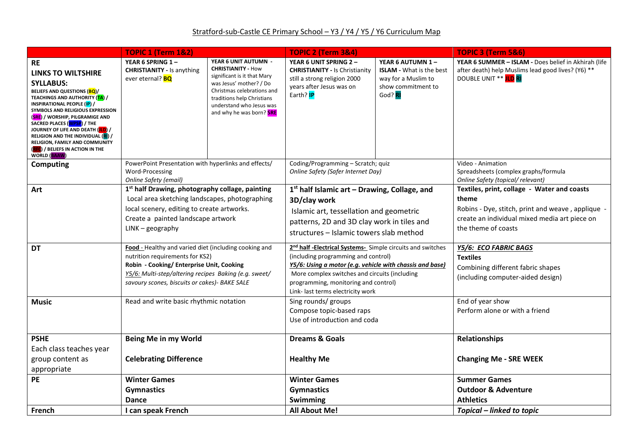|                                                                                                                                                                                                                                                                                                                                                                                                                                                                                   | <b>TOPIC 1 (Term 1&amp;2)</b>                                                                                                                                                                                                                   |                                                                                                                                                                                                                                 | <b>TOPIC 2 (Term 3&amp;4)</b>                                                                                                                                                                                                                                                                                    |                                                                                                             | <b>TOPIC 3 (Term 5&amp;6)</b>                                                                                                                                                     |  |
|-----------------------------------------------------------------------------------------------------------------------------------------------------------------------------------------------------------------------------------------------------------------------------------------------------------------------------------------------------------------------------------------------------------------------------------------------------------------------------------|-------------------------------------------------------------------------------------------------------------------------------------------------------------------------------------------------------------------------------------------------|---------------------------------------------------------------------------------------------------------------------------------------------------------------------------------------------------------------------------------|------------------------------------------------------------------------------------------------------------------------------------------------------------------------------------------------------------------------------------------------------------------------------------------------------------------|-------------------------------------------------------------------------------------------------------------|-----------------------------------------------------------------------------------------------------------------------------------------------------------------------------------|--|
| <b>RE</b><br><b>LINKS TO WILTSHIRE</b><br><b>SYLLABUS:</b><br>BELIEFS AND QUESTIONS (BQ)/<br><b>TEACHINGS AND AUTHORITY (<mark>TA</mark>)</b> /<br>INSPIRATIONAL PEOPLE (IP) /<br>SYMBOLS AND RELIGIOUS EXPRESSION<br>(SRE) / WORSHIP, PILGRAMIGE AND<br>SACRED PLACES (WPSP) / THE<br>JOURNEY OF LIFE AND DEATH ( <mark>JLD</mark> ) /<br><b>RELIGION AND THE INDIVIDUAL (RI) /</b><br>RELIGION, FAMILY AND COMMUNITY<br>(RFC) / BELIEFS IN ACTION IN THE<br><b>WORLD (BAAW)</b> | YEAR 6 SPRING 1-<br><b>CHRISTIANITY - Is anything</b><br>ever eternal? <b>BQ</b>                                                                                                                                                                | YEAR 6 UNIT AUTUMN -<br><b>CHRISTIANITY - How</b><br>significant is it that Mary<br>was Jesus' mother? / Do<br>Christmas celebrations and<br>traditions help Christians<br>understand who Jesus was<br>and why he was born? SRE | YEAR 6 UNIT SPRING 2 -<br><b>CHRISTIANITY - Is Christianity</b><br>still a strong religion 2000<br>years after Jesus was on<br>Earth? <b>IP</b>                                                                                                                                                                  | YEAR 6 AUTUMN 1-<br><b>ISLAM</b> - What is the best<br>way for a Muslim to<br>show commitment to<br>God? RI | YEAR 6 SUMMER - ISLAM - Does belief in Akhirah (life<br>after death) help Muslims lead good lives? (Y6) **<br>DOUBLE UNIT ** ILD RI                                               |  |
| <b>Computing</b>                                                                                                                                                                                                                                                                                                                                                                                                                                                                  | PowerPoint Presentation with hyperlinks and effects/<br>Word-Processing<br>Online Safety (email)                                                                                                                                                |                                                                                                                                                                                                                                 | Coding/Programming - Scratch; quiz<br>Online Safety (Safer Internet Day)                                                                                                                                                                                                                                         |                                                                                                             | Video - Animation<br>Spreadsheets (complex graphs/formula<br>Online Safety (topical/ relevant)                                                                                    |  |
| Art                                                                                                                                                                                                                                                                                                                                                                                                                                                                               | 1 <sup>st</sup> half Drawing, photography collage, painting<br>Local area sketching landscapes, photographing<br>local scenery, editing to create artworks.<br>Create a painted landscape artwork<br>$LINK - geography$                         |                                                                                                                                                                                                                                 | $1st$ half Islamic art – Drawing, Collage, and<br>3D/clay work<br>Islamic art, tessellation and geometric<br>patterns, 2D and 3D clay work in tiles and<br>structures - Islamic towers slab method                                                                                                               |                                                                                                             | Textiles, print, collage - Water and coasts<br>theme<br>Robins - Dye, stitch, print and weave, applique -<br>create an individual mixed media art piece on<br>the theme of coasts |  |
| <b>DT</b>                                                                                                                                                                                                                                                                                                                                                                                                                                                                         | Food - Healthy and varied diet (including cooking and<br>nutrition requirements for KS2)<br>Robin - Cooking/ Enterprise Unit, Cooking<br>Y5/6: Multi-step/altering recipes Baking (e.g. sweet/<br>savoury scones, biscuits or cakes)- BAKE SALE |                                                                                                                                                                                                                                 | 2 <sup>nd</sup> half - <b>Electrical Systems</b> - Simple circuits and switches<br>(including programming and control)<br>Y5/6: Using a motor (e.g. vehicle with chassis and base)<br>More complex switches and circuits (including<br>programming, monitoring and control)<br>Link- last terms electricity work |                                                                                                             | Y5/6: ECO FABRIC BAGS<br><b>Textiles</b><br>Combining different fabric shapes<br>(including computer-aided design)                                                                |  |
| <b>Music</b>                                                                                                                                                                                                                                                                                                                                                                                                                                                                      | Read and write basic rhythmic notation                                                                                                                                                                                                          |                                                                                                                                                                                                                                 | Sing rounds/ groups<br>Compose topic-based raps<br>Use of introduction and coda                                                                                                                                                                                                                                  |                                                                                                             | End of year show<br>Perform alone or with a friend                                                                                                                                |  |
| <b>PSHE</b><br>Each class teaches year<br>group content as<br>appropriate                                                                                                                                                                                                                                                                                                                                                                                                         | Being Me in my World<br><b>Celebrating Difference</b>                                                                                                                                                                                           |                                                                                                                                                                                                                                 | <b>Dreams &amp; Goals</b><br><b>Healthy Me</b>                                                                                                                                                                                                                                                                   |                                                                                                             | <b>Relationships</b><br><b>Changing Me - SRE WEEK</b>                                                                                                                             |  |
| <b>PE</b>                                                                                                                                                                                                                                                                                                                                                                                                                                                                         | <b>Winter Games</b><br><b>Gymnastics</b><br><b>Dance</b>                                                                                                                                                                                        |                                                                                                                                                                                                                                 | <b>Winter Games</b><br><b>Gymnastics</b><br>Swimming                                                                                                                                                                                                                                                             |                                                                                                             | <b>Summer Games</b><br><b>Outdoor &amp; Adventure</b><br><b>Athletics</b>                                                                                                         |  |
| French                                                                                                                                                                                                                                                                                                                                                                                                                                                                            | I can speak French                                                                                                                                                                                                                              |                                                                                                                                                                                                                                 | <b>All About Me!</b>                                                                                                                                                                                                                                                                                             |                                                                                                             | Topical – linked to topic                                                                                                                                                         |  |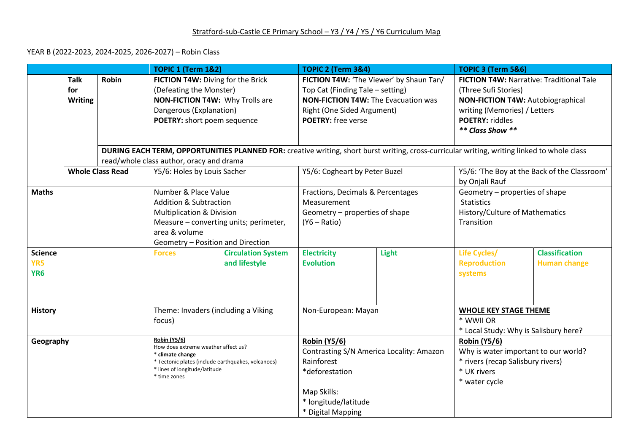## YEAR B (2022-2023, 2024-2025, 2026-2027) – Robin Class

|                 |                         | <b>TOPIC 1 (Term 1&amp;2)</b>                           |                                          | <b>TOPIC 2 (Term 3&amp;4)</b>            |                                                                                                                                             | TOPIC 3 (Term 5&6)                         |                                              |                                          |  |
|-----------------|-------------------------|---------------------------------------------------------|------------------------------------------|------------------------------------------|---------------------------------------------------------------------------------------------------------------------------------------------|--------------------------------------------|----------------------------------------------|------------------------------------------|--|
|                 | <b>Talk</b><br>Robin    |                                                         | FICTION T4W: Diving for the Brick        |                                          | FICTION T4W: 'The Viewer' by Shaun Tan/                                                                                                     |                                            | FICTION T4W: Narrative: Traditional Tale     |                                          |  |
|                 | for                     |                                                         | (Defeating the Monster)                  |                                          | Top Cat (Finding Tale - setting)                                                                                                            |                                            | (Three Sufi Stories)                         |                                          |  |
|                 | <b>Writing</b>          |                                                         | NON-FICTION T4W: Why Trolls are          |                                          |                                                                                                                                             | <b>NON-FICTION T4W: The Evacuation was</b> |                                              | <b>NON-FICTION T4W: Autobiographical</b> |  |
|                 |                         |                                                         | Dangerous (Explanation)                  |                                          |                                                                                                                                             | Right (One Sided Argument)                 |                                              | writing (Memories) / Letters             |  |
|                 |                         |                                                         | POETRY: short poem sequence              |                                          | <b>POETRY:</b> free verse                                                                                                                   |                                            | <b>POETRY: riddles</b>                       |                                          |  |
|                 |                         |                                                         |                                          |                                          |                                                                                                                                             |                                            | ** Class Show **                             |                                          |  |
|                 |                         |                                                         |                                          |                                          |                                                                                                                                             |                                            |                                              |                                          |  |
|                 |                         |                                                         |                                          |                                          | DURING EACH TERM, OPPORTUNITIES PLANNED FOR: creative writing, short burst writing, cross-curricular writing, writing linked to whole class |                                            |                                              |                                          |  |
|                 |                         |                                                         | read/whole class author, oracy and drama |                                          |                                                                                                                                             |                                            |                                              |                                          |  |
|                 | <b>Whole Class Read</b> |                                                         | Y5/6: Holes by Louis Sacher              |                                          | Y5/6: Cogheart by Peter Buzel                                                                                                               |                                            | Y5/6: 'The Boy at the Back of the Classroom' |                                          |  |
|                 |                         |                                                         |                                          |                                          |                                                                                                                                             |                                            | by Onjali Rauf                               |                                          |  |
| <b>Maths</b>    |                         |                                                         | Number & Place Value                     |                                          | Fractions, Decimals & Percentages                                                                                                           |                                            | Geometry - properties of shape               |                                          |  |
|                 |                         |                                                         | <b>Addition &amp; Subtraction</b>        |                                          | Measurement                                                                                                                                 |                                            | <b>Statistics</b>                            |                                          |  |
|                 |                         |                                                         | <b>Multiplication &amp; Division</b>     |                                          | Geometry - properties of shape                                                                                                              |                                            | History/Culture of Mathematics               |                                          |  |
|                 |                         |                                                         | Measure - converting units; perimeter,   |                                          | $(Y6 - Ratio)$                                                                                                                              |                                            | Transition                                   |                                          |  |
|                 |                         | area & volume                                           |                                          |                                          |                                                                                                                                             |                                            |                                              |                                          |  |
|                 |                         |                                                         | Geometry - Position and Direction        |                                          |                                                                                                                                             |                                            |                                              |                                          |  |
| <b>Science</b>  |                         | <b>Forces</b>                                           | <b>Circulation System</b>                | <b>Electricity</b>                       | Light                                                                                                                                       | Life Cycles/                               | <b>Classification</b>                        |                                          |  |
| YR5             |                         |                                                         | and lifestyle                            | <b>Evolution</b>                         |                                                                                                                                             | <b>Reproduction</b>                        | <b>Human change</b>                          |                                          |  |
| YR <sub>6</sub> |                         |                                                         |                                          |                                          |                                                                                                                                             | systems                                    |                                              |                                          |  |
|                 |                         |                                                         |                                          |                                          |                                                                                                                                             |                                            |                                              |                                          |  |
|                 |                         |                                                         |                                          |                                          |                                                                                                                                             |                                            |                                              |                                          |  |
| <b>History</b>  |                         |                                                         | Theme: Invaders (including a Viking      |                                          | Non-European: Mayan                                                                                                                         |                                            | <b>WHOLE KEY STAGE THEME</b>                 |                                          |  |
|                 |                         |                                                         | focus)                                   |                                          |                                                                                                                                             |                                            | * WWII OR                                    |                                          |  |
|                 |                         |                                                         |                                          |                                          |                                                                                                                                             |                                            | * Local Study: Why is Salisbury here?        |                                          |  |
| Geography       |                         |                                                         | <b>Robin (Y5/6)</b>                      |                                          | <b>Robin (Y5/6)</b>                                                                                                                         |                                            | <b>Robin (Y5/6)</b>                          |                                          |  |
|                 |                         | How does extreme weather affect us?<br>* climate change |                                          | Contrasting S/N America Locality: Amazon |                                                                                                                                             | Why is water important to our world?       |                                              |                                          |  |
|                 |                         | * Tectonic plates (include earthquakes, volcanoes)      |                                          | Rainforest                               |                                                                                                                                             | * rivers (recap Salisbury rivers)          |                                              |                                          |  |
|                 |                         | * lines of longitude/latitude                           |                                          | *deforestation                           |                                                                                                                                             | * UK rivers                                |                                              |                                          |  |
|                 |                         | * time zones                                            |                                          |                                          |                                                                                                                                             | * water cycle                              |                                              |                                          |  |
|                 |                         |                                                         |                                          | Map Skills:                              |                                                                                                                                             |                                            |                                              |                                          |  |
|                 |                         |                                                         |                                          | * longitude/latitude                     |                                                                                                                                             |                                            |                                              |                                          |  |
|                 |                         |                                                         |                                          | * Digital Mapping                        |                                                                                                                                             |                                            |                                              |                                          |  |